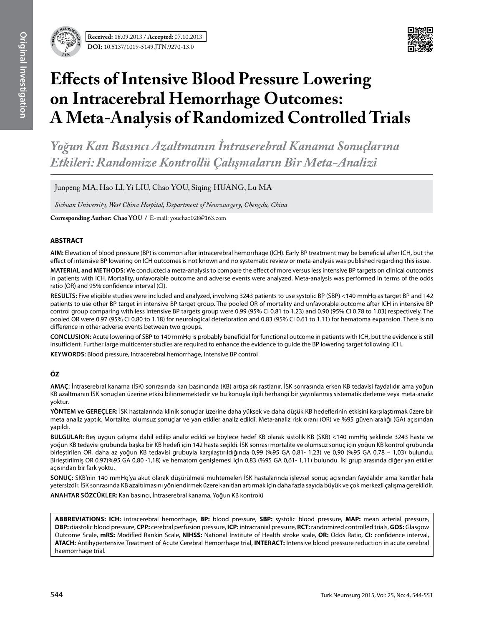

# **Effects of Intensive Blood Pressure Lowering on Intracerebral Hemorrhage Outcomes: A Meta-Analysis of Randomized Controlled Trials**

*Yoğun Kan Basıncı Azaltmanın İntraserebral Kanama Sonuçlarına Etkileri: Randomize Kontrollü Çalışmaların Bir Meta-Analizi*

Junpeng MA, Hao LI, Yi LIU, Chao YOU, Siqing HUANG, Lu MA

*Sichuan University, West China Hospital, Department of Neurosurgery, Chengdu, China*

**Corresponding Author: Chao You /** E-mail: youchao028@163.com

#### **ABSTRACT**

**AIm:** Elevation of blood pressure (BP) is common after intracerebral hemorrhage (ICH). Early BP treatment may be beneficial after ICH, but the effect of intensive BP lowering on ICH outcomes is not known and no systematic review or meta-analysis was published regarding this issue.

**MaterIal and Methods:** We conducted a meta-analysis to compare the effect of more versus less intensive BP targets on clinical outcomes in patients with ICH. Mortality, unfavorable outcome and adverse events were analyzed. Meta-analysis was performed in terms of the odds ratio (OR) and 95% confidence interval (CI).

**Results:** Five eligible studies were included and analyzed, involving 3243 patients to use systolic BP (SBP) <140 mmHg as target BP and 142 patients to use other BP target in intensive BP target group. The pooled OR of mortality and unfavorable outcome after ICH in intensive BP control group comparing with less intensive BP targets group were 0.99 (95% CI 0.81 to 1.23) and 0.90 (95% CI 0.78 to 1.03) respectively. The pooled OR were 0.97 (95% CI 0.80 to 1.18) for neurological deterioration and 0.83 (95% CI 0.61 to 1.11) for hematoma expansion. There is no difference in other adverse events between two groups.

**ConclusIon:** Acute lowering of SBP to 140 mmHg is probably beneficial for functional outcome in patients with ICH, but the evidence is still insufficient. Further large multicenter studies are required to enhance the evidence to guide the BP lowering target following ICH.

**Keywords:** Blood pressure, Intracerebral hemorrhage, Intensive BP control

## **ÖZ**

**AMAÇ:** İntraserebral kanama (İSK) sonrasında kan basıncında (KB) artışa sık rastlanır. İSK sonrasında erken KB tedavisi faydalıdır ama yoğun KB azaltmanın İSK sonuçları üzerine etkisi bilinmemektedir ve bu konuyla ilgili herhangi bir yayınlanmış sistematik derleme veya meta-analiz yoktur.

**YÖNTEM ve GEREÇLER:** İSK hastalarında klinik sonuçlar üzerine daha yüksek ve daha düşük KB hedeflerinin etkisini karşılaştırmak üzere bir meta analiz yaptık. Mortalite, olumsuz sonuçlar ve yan etkiler analiz edildi. Meta-analiz risk oranı (OR) ve %95 güven aralığı (GA) açısından yapıldı.

**BULGULAR:** Beş uygun çalışma dahil edilip analiz edildi ve böylece hedef KB olarak sistolik KB (SKB) <140 mmHg şeklinde 3243 hasta ve yoğun KB tedavisi grubunda başka bir KB hedefi için 142 hasta seçildi. İSK sonrası mortalite ve olumsuz sonuç için yoğun KB kontrol grubunda birleştirilen OR, daha az yoğun KB tedavisi grubuyla karşılaştırıldığında 0,99 (%95 GA 0,81- 1,23) ve 0,90 (%95 GA 0,78 – 1,03) bulundu. Birleştirilmiş OR 0,97(%95 GA 0,80 -1,18) ve hematom genişlemesi için 0,83 (%95 GA 0,61- 1,11) bulundu. İki grup arasında diğer yan etkiler açısından bir fark yoktu.

**SONUÇ:** SKB'nin 140 mmHg'ya akut olarak düşürülmesi muhtemelen İSK hastalarında işlevsel sonuç açısından faydalıdır ama kanıtlar hala yetersizdir. İSK sonrasında KB azaltılmasını yönlendirmek üzere kanıtları artırmak için daha fazla sayıda büyük ve çok merkezli çalışma gereklidir.

**ANAHTAR SÖZCÜKLER:** Kan basıncı, İntraserebral kanama, Yoğun KB kontrolü

**Abbrevıatıons: ICH:** intracerebral hemorrhage, **BP:** blood pressure, **SBP:** systolic blood pressure, **MAP:** mean arterial pressure, **DBP:** diastolic blood pressure, **CPP:** cerebral perfusion pressure, **ICP:** intracranial pressure, **RCT:** randomized controlled trials, **GOS:** Glasgow Outcome Scale, **mRS:** Modified Rankin Scale, **NIHSS:** National Institute of Health stroke scale, **OR:** Odds Ratio, **CI:** confidence interval, **ATACH:** Antihypertensive Treatment of Acute Cerebral Hemorrhage trial, **INTERACT:** Intensive blood pressure reduction in acute cerebral haemorrhage trial.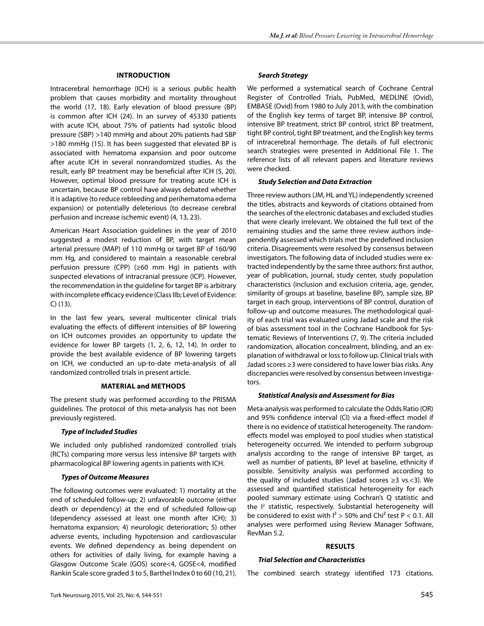## **Introduction**

Intracerebral hemorrhage (ICH) is a serious public health problem that causes morbidity and mortality throughout the world (17, 18). Early elevation of blood pressure (BP) is common after ICH (24). In an survey of 45330 patients with acute ICH, about 75% of patients had systolic blood pressure (SBP) >140 mmHg and about 20% patients had SBP >180 mmHg (15). It has been suggested that elevated BP is associated with hematoma expansion and poor outcome after acute ICH in several nonrandomized studies. As the result, early BP treatment may be beneficial after ICH (5, 20). However, optimal blood pressure for treating acute ICH is uncertain, because BP control have always debated whether it is adaptive (to reduce rebleeding and perihematoma edema expansion) or potentially deleterious (to decrease cerebral perfusion and increase ischemic event) (4, 13, 23).

American Heart Association guidelines in the year of 2010 suggested a modest reduction of BP, with target mean arterial pressure (MAP) of 110 mmHg or target BP of 160/90 mm Hg, and considered to maintain a reasonable cerebral perfusion pressure (CPP) (≥60 mm Hg) in patients with suspected elevations of intracranial pressure (ICP). However, the recommendation in the guideline for target BP is arbitrary with incomplete efficacy evidence (Class IIb; Level of Evidence: C) (13).

In the last few years, several multicenter clinical trials evaluating the effects of different intensities of BP lowering on ICH outcomes provides an opportunity to update the evidence for lower BP targets (1, 2, 6, 12, 14). In order to provide the best available evidence of BP lowering targets on ICH, we conducted an up-to-date meta-analysis of all randomized controlled trials in present article.

## **Material and methodS**

The present study was performed according to the PRISMA guidelines. The protocol of this meta-analysis has not been previously registered.

# *Type of Included Studies*

We included only published randomized controlled trials (RCTs) comparing more versus less intensive BP targets with pharmacological BP lowering agents in patients with ICH.

## *Types of Outcome Measures*

The following outcomes were evaluated: 1) mortality at the end of scheduled follow-up; 2) unfavorable outcome (either death or dependency) at the end of scheduled follow-up (dependency assessed at least one month after ICH); 3) hematoma expansion; 4) neurologic deterioration; 5) other adverse events, including hypotension and cardiovascular events. We defined dependency as being dependent on others for activities of daily living, for example having a Glasgow Outcome Scale (GOS) score<4, GOSE<4, modified Rankin Scale score graded 3 to 5, Barthel Index 0 to 60 (10, 21).

# *Search Strategy*

We performed a systematical search of Cochrane Central Register of Controlled Trials, PubMed, MEDLINE (Ovid), EMBASE (Ovid) from 1980 to July 2013, with the combination of the English key terms of target BP, intensive BP control, intensive BP treatment, strict BP control, strict BP treatment, tight BP control, tight BP treatment, and the English key terms of intracerebral hemorrhage. The details of full electronic search strategies were presented in Additional File 1. The reference lists of all relevant papers and literature reviews were checked.

# *Study Selection and Data Extraction*

Three review authors (JM, HL and YL) independently screened the titles, abstracts and keywords of citations obtained from the searches of the electronic databases and excluded studies that were clearly irrelevant. We obtained the full text of the remaining studies and the same three review authors independently assessed which trials met the predefined inclusion criteria. Disagreements were resolved by consensus between investigators. The following data of included studies were extracted independently by the same three authors: first author, year of publication, journal, study center, study population characteristics (inclusion and exclusion criteria, age, gender, similarity of groups at baseline, baseline BP), sample size, BP target in each group, interventions of BP control, duration of follow-up and outcome measures. The methodological quality of each trial was evaluated using Jadad scale and the risk of bias assessment tool in the Cochrane Handbook for Systematic Reviews of Interventions (7, 9). The criteria included randomization, allocation concealment, blinding, and an explanation of withdrawal or loss to follow up. Clinical trials with Jadad scores ≥3 were considered to have lower bias risks. Any discrepancies were resolved by consensus between investigators.

## *Statistical Analysis and Assessment for Bias*

Meta-analysis was performed to calculate the Odds Ratio (OR) and 95% confidence interval (CI) via a fixed-effect model if there is no evidence of statistical heterogeneity. The randomeffects model was employed to pool studies when statistical heterogeneity occurred. We intended to perform subgroup analysis according to the range of intensive BP target, as well as number of patients, BP level at baseline, ethnicity if possible. Sensitivity analysis was performed according to the quality of included studies (Jadad scores ≥3 vs.<3). We assessed and quantified statistical heterogeneity for each pooled summary estimate using Cochran's Q statistic and the I<sup>2</sup> statistic, respectively. Substantial heterogeneity will be considered to exist with  $I^2 > 50\%$  and Chi<sup>2</sup> test P < 0.1. All analyses were performed using Review Manager Software, RevMan 5.2.

## **Results**

## *Trial Selection and Characteristics*

The combined search strategy identified 173 citations.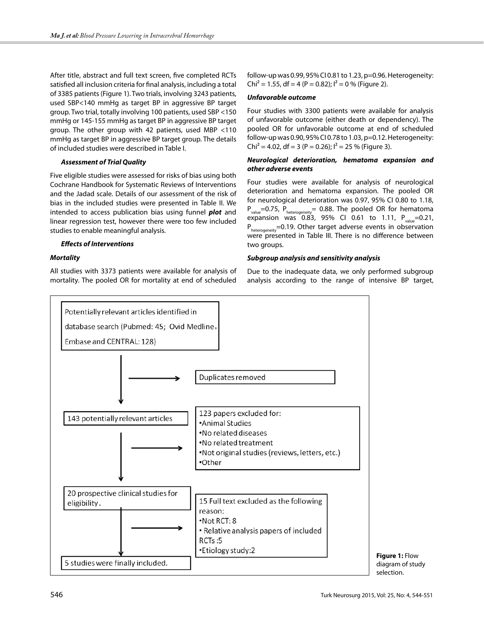After title, abstract and full text screen, five completed RCTs satisfied all inclusion criteria for final analysis, including a total of 3385 patients (Figure 1). Two trials, involving 3243 patients, used SBP<140 mmHg as target BP in aggressive BP target group. Two trial, totally involving 100 patients, used SBP <150 mmHg or 145-155 mmHg as target BP in aggressive BP target group. The other group with 42 patients, used MBP <110 mmHg as target BP in aggressive BP target group. The details of included studies were described in Table I.

## *Assessment of Trial Quality*

Five eligible studies were assessed for risks of bias using both Cochrane Handbook for Systematic Reviews of Interventions and the Jadad scale. Details of our assessment of the risk of bias in the included studies were presented in Table II. We intended to access publication bias using funnel *plot* and linear regression test, however there were too few included studies to enable meaningful analysis.

#### *Effects of Interventions*

#### *Mortality*

All studies with 3373 patients were available for analysis of mortality. The pooled OR for mortality at end of scheduled

follow-up was 0.99, 95% CI 0.81 to 1.23, p=0.96. Heterogeneity:  $Chi^2 = 1.55$ , df = 4 (P = 0.82);  $I^2 = 0$  % (Figure 2).

## *Unfavorable outcome*

Four studies with 3300 patients were available for analysis of unfavorable outcome (either death or dependency). The pooled OR for unfavorable outcome at end of scheduled follow-up was 0.90, 95% CI 0.78 to 1.03, p=0.12. Heterogeneity: Chi<sup>2</sup> = 4.02, df = 3 (P = 0.26);  $I^2$  = 25 % (Figure 3).

#### *Neurological deterioration, hematoma expansion and other adverse events*

Four studies were available for analysis of neurological deterioration and hematoma expansion. The pooled OR for neurological deterioration was 0.97, 95% CI 0.80 to 1.18,  $P_{value}$ =0.75,  $P_{heterogeneity}$ = 0.88. The pooled OR for hematoma expansion was  $0.83$ , 95% CI 0.61 to 1.11,  $P_{value} = 0.21$ ,  $P_{heterogeneity}$ =0.19. Other target adverse events in observation were presented in Table III. There is no difference between two groups.

#### *Subgroup analysis and sensitivity analysis*

Due to the inadequate data, we only performed subgroup analysis according to the range of intensive BP target,



**Figure 1:** Flow diagram of study selection.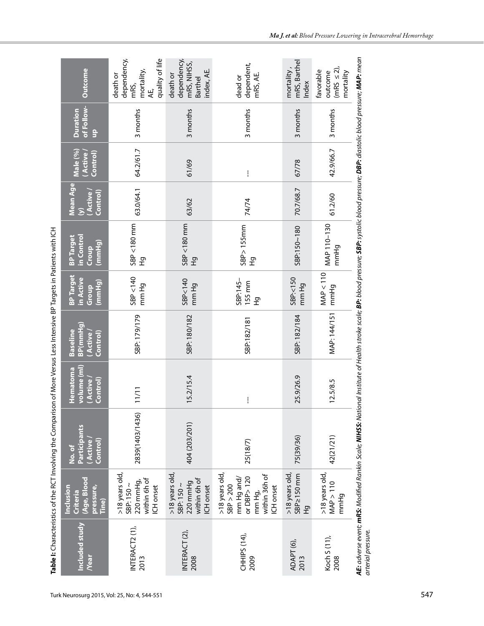|                                      |                                                                                                  | Table I: Characteristics of the RCT Involving the Comparison                                                                                                                                                                                 |                                                 | of More Versus Less Intensive BP Targets in Patients with ICH |                                                  |                                                   |                                                        |                                  |                                                |                                                                         |
|--------------------------------------|--------------------------------------------------------------------------------------------------|----------------------------------------------------------------------------------------------------------------------------------------------------------------------------------------------------------------------------------------------|-------------------------------------------------|---------------------------------------------------------------|--------------------------------------------------|---------------------------------------------------|--------------------------------------------------------|----------------------------------|------------------------------------------------|-------------------------------------------------------------------------|
| <b>Included study</b><br><b>Near</b> | (Age, Blood<br>pressure,<br>Inclusion<br>Criteria<br>Tine)                                       | <b>Participants</b><br>(Active<br>Control)<br>No. of                                                                                                                                                                                         | volume (ml)<br>Hematoma<br>(Active)<br>Control) | BP(mmHg)<br><b>Baseline</b><br>(Active)<br>Control)           | <b>BP Target</b><br>in Active<br>(mmHg)<br>Group | in Control<br><b>BP Target</b><br>(mmHg)<br>Croup | Mean Age<br>(Active)<br>Control)<br>$\hat{\mathbf{z}}$ | Male (%)<br>(Active)<br>Control) | of Follow-<br><b>Duration</b><br>$\frac{a}{J}$ | Outcome                                                                 |
| INTERACT2 (1),<br>2013               | >18 years old,<br>within 6h of<br>220 mmHg,<br>SBP: $150 \sim$<br>ICH onset                      | 2839(1403/1436)                                                                                                                                                                                                                              | 1/11                                            | SBP: 179/179                                                  | SBP<140<br>mm Hg                                 | SBP <180 mm<br>운                                  | 63.0/64.1                                              | 64.2/61.7                        | 3 months                                       | dependency,<br>quality of life<br>mortality,<br>death or<br>mRS,<br>АE, |
| INTERACT (2),<br>2008                | >18 years old,<br>within 6h of<br>220 mmHg<br>SBP: $150 \sim$<br>ICH onset                       | 404 (203/201)                                                                                                                                                                                                                                | 5.2/15.4                                        | SBP: 180/182                                                  | SBP<140<br>mm Hg                                 | SBP <180 mm<br>오                                  | 63/62                                                  | 61/69                            | 3 months                                       | dependency,<br>mRS, NIHSS,<br>index, AE.<br>death or<br><b>Barthel</b>  |
| CHHIPS (14),<br>2009                 | >18 years old,<br>SBP > 200<br>within 36h of<br>mm Hg and/<br>or DBP> 120<br>ICH onset<br>mm Hg, | 25(18/7)                                                                                                                                                                                                                                     | $\mathbf{I}$                                    | SBP:182/181                                                   | SBP:145-<br>155 mm<br>온                          | $SBP$ > 155mm<br>$\overline{\mathfrak{L}}$        | 74/74                                                  | ļ                                | 3 months                                       | dependent,<br>mRS, AE.<br>dead or                                       |
| ADAPT <sub>(6)</sub><br>2013         | SBP2150 mm<br>>18 years old<br>P<br>H                                                            | 75(39/36)                                                                                                                                                                                                                                    | 5.9/26.9<br>$\sim$                              | SBP: 182/184                                                  | SBP:<150<br>mm Hg                                | SBP:150~180                                       | 70.7/68.7                                              | 67/78                            | 3 months                                       | mRS, Barthel<br>mortality,<br>Index                                     |
| Koch S (11),<br>2008                 | >18 years old,<br>MAP > 110<br>mmHg                                                              | 42(21/21)                                                                                                                                                                                                                                    | 2.5/8.5                                         | MAP: 144/151                                                  | MAP < 110<br>mmHg                                | MAP 110-130<br>mmHg                               | 61.2/60                                                | 42.9/66.7                        | 3 months                                       | $(mRS \leq 2)$<br>favorable<br>outcome<br>mortality                     |
| arterial pressure.                   |                                                                                                  | <b>AE:</b> adverse event; <b>mRS:</b> Modified Rankin Scale; <b>NIHSS:</b> National Institute of Health stroke scale; <b>BP:</b> blood pressure; <b>SBP:</b> systolic blood pressure; <b>DBP:</b> diastolic blood pressure; <b>MAP:</b> mean |                                                 |                                                               |                                                  |                                                   |                                                        |                                  |                                                |                                                                         |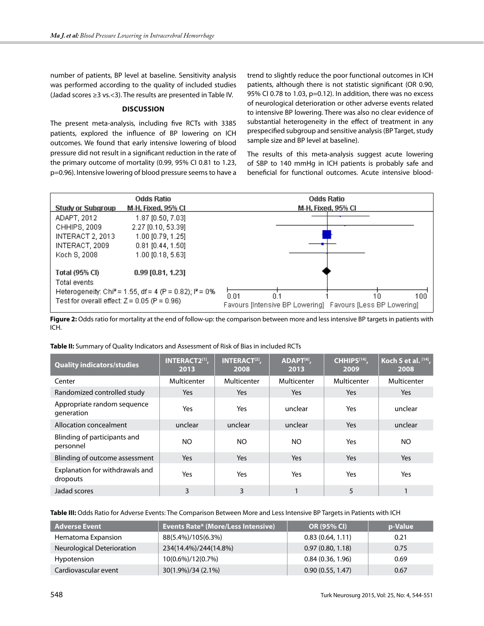number of patients, BP level at baseline. Sensitivity analysis was performed according to the quality of included studies (Jadad scores ≥3 vs.<3). The results are presented in Table IV.

## **Discussion**

The present meta-analysis, including five RCTs with 3385 patients, explored the influence of BP lowering on ICH outcomes. We found that early intensive lowering of blood pressure did not result in a significant reduction in the rate of the primary outcome of mortality (0.99, 95% CI 0.81 to 1.23, p=0.96). Intensive lowering of blood pressure seems to have a trend to slightly reduce the poor functional outcomes in ICH patients, although there is not statistic significant (OR 0.90, 95% CI 0.78 to 1.03, p=0.12). In addition, there was no excess of neurological deterioration or other adverse events related to intensive BP lowering. There was also no clear evidence of substantial heterogeneity in the effect of treatment in any prespecified subgroup and sensitive analysis (BP Target, study sample size and BP level at baseline).

The results of this meta-analysis suggest acute lowering of SBP to 140 mmHg in ICH patients is probably safe and beneficial for functional outcomes. Acute intensive blood-

| <b>Study or Subgroup</b>                                                                | <b>Odds Ratio</b><br><b>M-H, Fixed, 95% CI</b>                                                             | <b>Odds Ratio</b><br><b>M-H, Fixed, 95% CI</b>                                         |
|-----------------------------------------------------------------------------------------|------------------------------------------------------------------------------------------------------------|----------------------------------------------------------------------------------------|
| ADAPT, 2012<br>CHHIPS, 2009<br>INTERACT 2, 2013<br>INTERACT, 2009<br>Koch S, 2008       | 1.87 [0.50, 7.03]<br>2.27 [0.10, 53.39]<br>$1.00$ [0.79, 1.25]<br>$0.81$ [0.44, 1.50]<br>1.00 [0.18, 5.63] |                                                                                        |
| <b>Total (95% CI)</b><br>Total events<br>Test for overall effect: $Z = 0.05$ (P = 0.96) | $0.99$ [0.81, 1.23]<br>Heterogeneity: Chi <sup>2</sup> = 1.55, df = 4 (P = 0.82); $P = 0\%$                | 0.01<br>100<br>0.1<br>10<br>Favours (Intensive BP Lowering) Favours (Less BP Lowering) |

Figure 2: Odds ratio for mortality at the end of follow-up: the comparison between more and less intensive BP targets in patients with ICH.

#### **Table II:** Summary of Quality Indicators and Assessment of Risk of Bias in included RCTs

| <b>Quality indicators/studies</b>           | INTERACT2[1],<br>2013 | <b>INTERACT<sup>[2]</sup>,</b><br>2008 | ADAPT <sup>[6]</sup> ,<br>2013 | CHHIPS <sup>[14]</sup> ,<br>2009 | Koch S et al. [14],<br>2008 |
|---------------------------------------------|-----------------------|----------------------------------------|--------------------------------|----------------------------------|-----------------------------|
| Center                                      | Multicenter           | Multicenter                            | Multicenter                    | Multicenter                      | Multicenter                 |
| Randomized controlled study                 | <b>Yes</b>            | Yes                                    | Yes                            | <b>Yes</b>                       | Yes                         |
| Appropriate random sequence<br>generation   | Yes                   | Yes                                    | unclear                        | Yes                              | unclear                     |
| Allocation concealment                      | unclear               | unclear                                | unclear                        | <b>Yes</b>                       | unclear                     |
| Blinding of participants and<br>personnel   | NO.                   | NO.                                    | NO                             | Yes                              | NO.                         |
| Blinding of outcome assessment              | Yes                   | Yes                                    | <b>Yes</b>                     | Yes                              | <b>Yes</b>                  |
| Explanation for withdrawals and<br>dropouts | Yes                   | Yes                                    | Yes                            | Yes                              | Yes                         |
| Jadad scores                                | 3                     | 3                                      |                                | 5                                |                             |

**Table III:** Odds Ratio for Adverse Events: The Comparison Between More and Less Intensive BP Targets in Patients with ICH

| <b>Adverse Event</b>       | <b>Events Rate* (More/Less Intensive)</b> | <b>OR (95% CI)</b> | p-Value |
|----------------------------|-------------------------------------------|--------------------|---------|
| Hematoma Expansion         | 88(5.4%)/105(6.3%)                        | 0.83(0.64, 1.11)   | 0.21    |
| Neurological Deterioration | 234(14.4%)/244(14.8%)                     | 0.97(0.80, 1.18)   | 0.75    |
| Hypotension                | 10(0.6%)/12(0.7%)                         | 0.84(0.36, 1.96)   | 0.69    |
| Cardiovascular event       | 30(1.9%)/34 (2.1%)                        | 0.90(0.55, 1.47)   | 0.67    |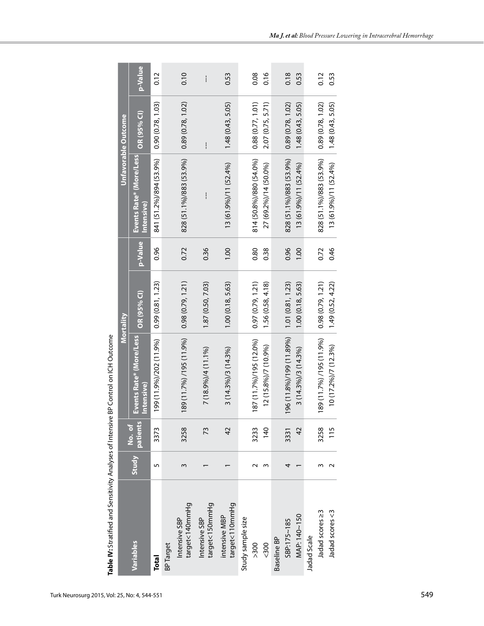|                                 |        |                |                                              | Mortality         |         |                                       | <b>Unfavorable Outcome</b> |         |
|---------------------------------|--------|----------------|----------------------------------------------|-------------------|---------|---------------------------------------|----------------------------|---------|
| Variables                       |        | Study patients | Events Rate* (More/Less<br><b>Intensive)</b> | OR (95% CI)       | p-Value | Events Rate* (More/Less<br>Intensive) | OR (95% CI)                | p-Value |
| Total                           | 5      | 3373           | 199 (11.9%)/202 (11.9%)                      | 0.99(0.81, 1.23)  | 0.96    | 841 (51.2%)/894 (53.9%)               | 0.90(0.78, 1.03)           | 0.12    |
| <b>BP</b> Target                |        |                |                                              |                   |         |                                       |                            |         |
| target<140mmHg<br>Intensive SBP | 3      | 3258           | 189 (11.7%) /195 (11.9%)                     | 0.98(0.79, 1.21)  | 0.72    | 828 (51.1%)/883 (53.9%)               | 0.89(0.78, 1.02)           | 0.10    |
| target<150mmHg<br>Intensive SBP |        | 73             | $7(18.9\%)/4(11.1\%)$                        | 1.87 (0.50, 7.03) | 0.36    | ļ                                     | ļ                          | ļ       |
| target<110mmHg<br>intensive MBP |        | $\overline{4}$ | $3(14.3\%)/3(14.3\%)$                        | 1.00(0.18, 5.63)  | 00.1    | 13 (61.9%)/11 (52.4%)                 | $1,48$ $(0.43, 5.05)$      | 0.53    |
| Study sample size               |        |                |                                              |                   |         |                                       |                            |         |
| > 300                           | $\sim$ | 3233           | 187 (11.7%)/195 (12.0%)                      | 0.97(0.79, 1.21)  | 0.80    | 814 (50.8%)/880 (54.0%)               | 0.88(0.77, 1.01)           | 0.08    |
| < 300                           | 3      | 140            | 12 (15.8%)/7 (10.9%)                         | .56 (0.58, 4.18)  | 0.38    | 27 (69.2%)/14 (50.0%)                 | 2.07 (0.75, 5.71)          | 0.16    |
| Baseline BP                     |        |                |                                              |                   |         |                                       |                            |         |
| SBP:175~185                     | 4      | 3331           | 196 (11.8%)/199 (11.89%)                     | 1.01(0.81, 1.23)  | 0.96    | 828 (51.1%)/883 (53.9%)               | 0.89(0.78, 1.02)           | 0.18    |
| MAP: 140~150                    |        | $\overline{4}$ | $3(14.3\%)/3(14.3\%)$                        | 1.00(0.18, 5.63)  | 00.1    | $13(61.9\%)/11(52.4\%)$               | $1,48$ $(0.43, 5.05)$      | 0.53    |
| Jadad Scale                     |        |                |                                              |                   |         |                                       |                            |         |
| Jadad scores ≥3                 | W      | 3258           | 189 (11.7%) /195 (11.9%)                     | 0.98(0.79, 1.21)  | 0.72    | 828 (51.1%)/883 (53.9%)               | 0.89(0.78, 1.02)           | 0.12    |
| Jadad scores <3                 |        | 115            | $10(17.2\%)/7(12.3\%)$                       | 1.49(0.52, 4.22)  | 0.46    | 13 (61.9%)/11 (52.4%)                 | $1,48$ (0.43, 5.05)        | 0.53    |

Table IV: Stratified and Sensitivity Analyses of Intensive BP Control on ICH Outcome **Table IV:** Stratified and Sensitivity Analyses of Intensive BP Control on ICH Outcome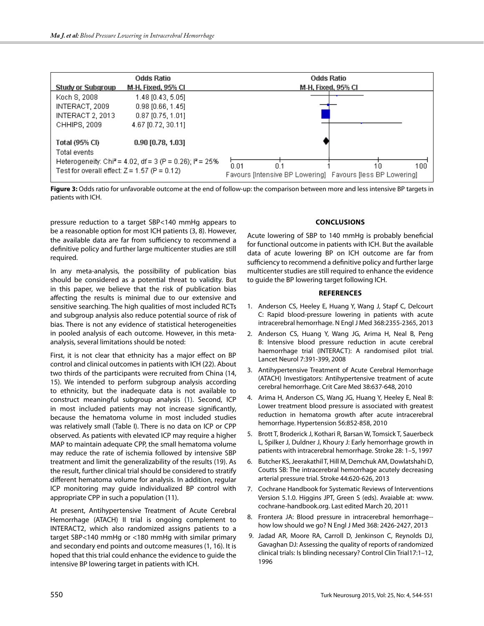|                                                                       | <b>Odds Ratio</b>         | <b>Odds Ratio</b>                                          |
|-----------------------------------------------------------------------|---------------------------|------------------------------------------------------------|
| <b>Study or Subgroup</b>                                              | <b>M-H, Fixed, 95% CI</b> | <b>M-H, Fixed, 95% CI</b>                                  |
| Koch S, 2008                                                          | 1.48 [0.43, 5.05]         |                                                            |
| INTERACT, 2009                                                        | $0.98$ [0.66, 1.45]       |                                                            |
| INTERACT 2, 2013                                                      | $0.87$ [0.75, 1.01]       |                                                            |
| CHHIPS, 2009                                                          | 4.67 [0.72, 30.11]        |                                                            |
| <b>Total (95% CI)</b>                                                 | $0.90$ [0.78, 1.03]       |                                                            |
| Total events                                                          |                           |                                                            |
| Heterogeneity: Chi <sup>2</sup> = 4.02, df = 3 (P = 0.26); $P = 25\%$ |                           | 0.01<br>100<br>'.0<br>10                                   |
| Test for overall effect: $Z = 1.57$ (P = 0.12)                        |                           | Favours (Intensive BP Lowering) Favours (less BP Lowering) |

Figure 3: Odds ratio for unfavorable outcome at the end of follow-up: the comparison between more and less intensive BP targets in patients with ICH.

pressure reduction to a target SBP<140 mmHg appears to be a reasonable option for most ICH patients (3, 8). However, the available data are far from sufficiency to recommend a definitive policy and further large multicenter studies are still required.

In any meta-analysis, the possibility of publication bias should be considered as a potential threat to validity. But in this paper, we believe that the risk of publication bias affecting the results is minimal due to our extensive and sensitive searching. The high qualities of most included RCTs and subgroup analysis also reduce potential source of risk of bias. There is not any evidence of statistical heterogeneities in pooled analysis of each outcome. However, in this metaanalysis, several limitations should be noted:

First, it is not clear that ethnicity has a major effect on BP control and clinical outcomes in patients with ICH (22). About two thirds of the participants were recruited from China (14, 15). We intended to perform subgroup analysis according to ethnicity, but the inadequate data is not available to construct meaningful subgroup analysis (1). Second, ICP in most included patients may not increase significantly, because the hematoma volume in most included studies was relatively small (Table I). There is no data on ICP or CPP observed. As patients with elevated ICP may require a higher MAP to maintain adequate CPP, the small hematoma volume may reduce the rate of ischemia followed by intensive SBP treatment and limit the generalizability of the results (19). As the result, further clinical trial should be considered to stratify different hematoma volume for analysis. In addition, regular ICP monitoring may guide individualized BP control with appropriate CPP in such a population (11).

At present, Antihypertensive Treatment of Acute Cerebral Hemorrhage (ATACH) II trial is ongoing complement to INTERACT2, which also randomized assigns patients to a target SBP<140 mmHg or <180 mmHg with similar primary and secondary end points and outcome measures (1, 16). It is hoped that this trial could enhance the evidence to guide the intensive BP lowering target in patients with ICH.

## **Conclusions**

Acute lowering of SBP to 140 mmHg is probably beneficial for functional outcome in patients with ICH. But the available data of acute lowering BP on ICH outcome are far from sufficiency to recommend a definitive policy and further large multicenter studies are still required to enhance the evidence to guide the BP lowering target following ICH.

#### **References**

- 1. Anderson CS, Heeley E, Huang Y, Wang J, Stapf C, Delcourt C: Rapid blood-pressure lowering in patients with acute intracerebral hemorrhage. N Engl J Med 368:2355-2365, 2013
- 2. Anderson CS, Huang Y, Wang JG, Arima H, Neal B, Peng B: Intensive blood pressure reduction in acute cerebral haemorrhage trial (INTERACT): A randomised pilot trial. Lancet Neurol 7:391-399, 2008
- 3. Antihypertensive Treatment of Acute Cerebral Hemorrhage (ATACH) Investigators: Antihypertensive treatment of acute cerebral hemorrhage. Crit Care Med 38:637-648, 2010
- 4. Arima H, Anderson CS, Wang JG, Huang Y, Heeley E, Neal B: Lower treatment blood pressure is associated with greatest reduction in hematoma growth after acute intracerebral hemorrhage. Hypertension 56:852-858, 2010
- 5. Brott T, Broderick J, Kothari R, Barsan W, Tomsick T, Sauerbeck L, Spilker J, Duldner J, Khoury J: Early hemorrhage growth in patients with intracerebral hemorrhage. Stroke 28: 1–5, 1997
- 6. Butcher KS, Jeerakathil T, Hill M, Demchuk AM, Dowlatshahi D, Coutts SB: The intracerebral hemorrhage acutely decreasing arterial pressure trial. Stroke 44:620-626, 2013
- 7. Cochrane Handbook for Systematic Reviews of Interventions Version 5.1.0. Higgins JPT, Green S (eds). Avaiable at: www. cochrane-handbook.org. Last edited March 20, 2011
- 8. Frontera JA: Blood pressure in intracerebral hemorrhage- how low should we go? N Engl J Med 368: 2426-2427, 2013
- 9. Jadad AR, Moore RA, Carroll D, Jenkinson C, Reynolds DJ, Gavaghan DJ: Assessing the quality of reports of randomized clinical trials: Is blinding necessary? Control Clin Trial17:1–12, 1996